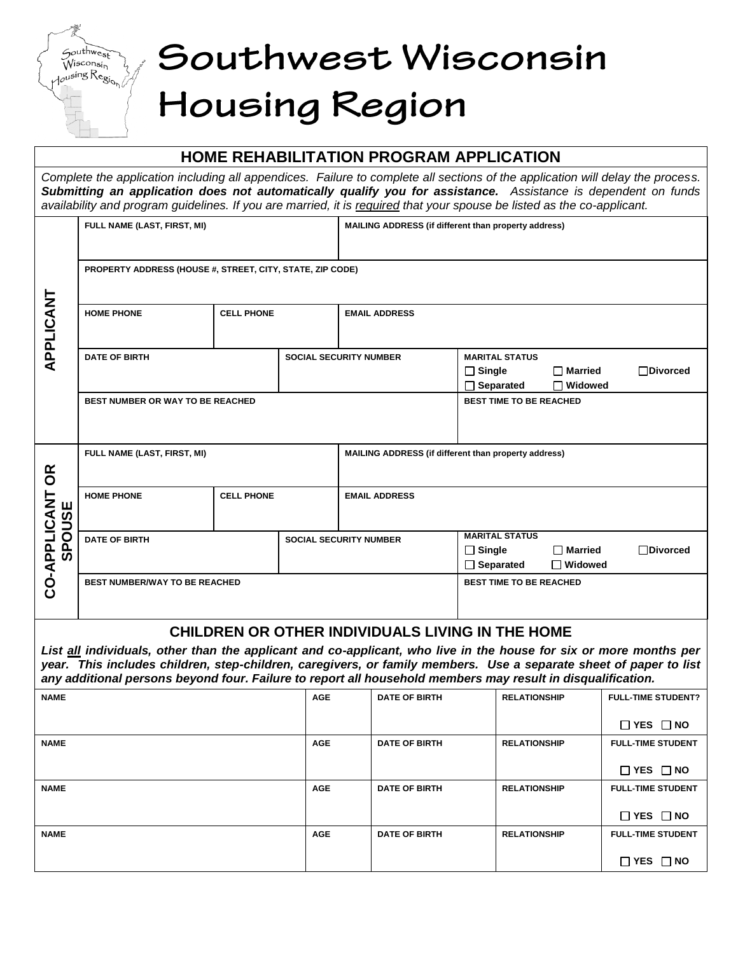# Southwest Wisconsin Housing Region

 $G$ outhwest

 $W$ isconsin  $\omega$ sing  $\text{Reg}_{\text{log}}$ 

## **HOME REHABILITATION PROGRAM APPLICATION** *Complete the application including all appendices. Failure to complete all sections of the application will delay the process. Submitting an application does not automatically qualify you for assistance. Assistance is dependent on funds availability and program guidelines. If you are married, it is required that your spouse be listed as the co-applicant.* **FULL NAME (LAST, FIRST, MI) MAILING ADDRESS (if different than property address) PROPERTY ADDRESS (HOUSE #, STREET, CITY, STATE, ZIP CODE) APPLICANT** APPLICANT **HOME PHONE CELL PHONE EMAIL ADDRESS DATE OF BIRTH SOCIAL SECURITY NUMBER** MARITAL STATUS **Single Married Divorced Separated Widowed BEST NUMBER OR WAY TO BE REACHED BEST TIME TO BE REACHED FULL NAME (LAST, FIRST, MI) MAILING ADDRESS (if different than property address) CO-APPLICANT OR CO-APPLICANT OR<br>SPOUSE HOME PHONE CELL PHONE EMAIL ADDRESS SPOUSE DATE OF BIRTH SOCIAL SECURITY NUMBER MARITAL STATUS Single Married Divorced Separated Widowed BEST NUMBER/WAY TO BE REACHED BEST TIME TO BE REACHED CHILDREN OR OTHER INDIVIDUALS LIVING IN THE HOME** *List all individuals, other than the applicant and co-applicant, who live in the house for six or more months per year. This includes children, step-children, caregivers, or family members. Use a separate sheet of paper to list any additional persons beyond four. Failure to report all household members may result in disqualification.* **NAME AGE DATE OF BIRTH RELATIONSHIP FULL-TIME STUDENT? YES NO NAME AGE DATE OF BIRTH RELATIONSHIP FULL-TIME STUDENT YES NO NAME AGE DATE OF BIRTH RELATIONSHIP FULL-TIME STUDENT YES NO NAME AGE DATE OF BIRTH RELATIONSHIP FULL-TIME STUDENT**

**YES NO**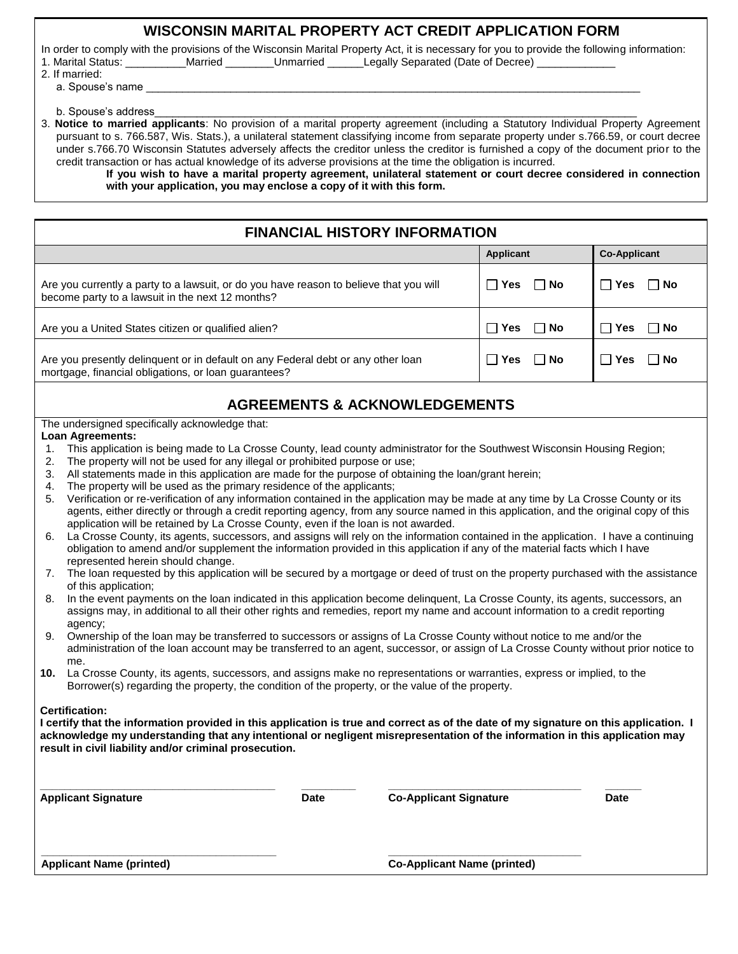#### **WISCONSIN MARITAL PROPERTY ACT CREDIT APPLICATION FORM**

In order to comply with the provisions of the Wisconsin Marital Property Act, it is necessary for you to provide the following information:<br>1. Marital Status: **Married** Unmarried Legally Separated (Date of Decree) 1. Married \_\_\_\_\_\_\_\_Unmarried \_\_\_\_\_\_Legally Separated (Date of Decree)

| .              |  |  |  |
|----------------|--|--|--|
| 2. If married: |  |  |  |

a. Spouse's name

b. Spouse's address

3. **Notice to married applicants**: No provision of a marital property agreement (including a Statutory Individual Property Agreement pursuant to s. 766.587, Wis. Stats.), a unilateral statement classifying income from separate property under s.766.59, or court decree under s.766.70 Wisconsin Statutes adversely affects the creditor unless the creditor is furnished a copy of the document prior to the credit transaction or has actual knowledge of its adverse provisions at the time the obligation is incurred.

**If you wish to have a marital property agreement, unilateral statement or court decree considered in connection with your application, you may enclose a copy of it with this form.**

### **FINANCIAL HISTORY INFORMATION**

|                                                                                        | Applicant         | <b>Co-Applicant</b>         |
|----------------------------------------------------------------------------------------|-------------------|-----------------------------|
| Are you currently a party to a lawsuit, or do you have reason to believe that you will | Yes               | □ No                        |
| become party to a lawsuit in the next 12 months?                                       | ∩ No              | Yes                         |
| Are you a United States citizen or qualified alien?                                    | <b>Yes</b><br>∣No | ⊟ No<br>Yes<br>$\mathbf{1}$ |
| Are you presently delinquent or in default on any Federal debt or any other loan       | l Yes             | ∣ No                        |
| mortgage, financial obligations, or loan guarantees?                                   | ∣ No              | Yes                         |

#### **AGREEMENTS & ACKNOWLEDGEMENTS**

The undersigned specifically acknowledge that:

#### **Loan Agreements:**

- 1. This application is being made to La Crosse County, lead county administrator for the Southwest Wisconsin Housing Region;
- 2. The property will not be used for any illegal or prohibited purpose or use;
- 3. All statements made in this application are made for the purpose of obtaining the loan/grant herein;
- 4. The property will be used as the primary residence of the applicants;
- 5. Verification or re-verification of any information contained in the application may be made at any time by La Crosse County or its agents, either directly or through a credit reporting agency, from any source named in this application, and the original copy of this application will be retained by La Crosse County, even if the loan is not awarded.
- 6. La Crosse County, its agents, successors, and assigns will rely on the information contained in the application. I have a continuing obligation to amend and/or supplement the information provided in this application if any of the material facts which I have represented herein should change.
- 7. The loan requested by this application will be secured by a mortgage or deed of trust on the property purchased with the assistance of this application;
- 8. In the event payments on the loan indicated in this application become delinquent, La Crosse County, its agents, successors, an assigns may, in additional to all their other rights and remedies, report my name and account information to a credit reporting agency;
- 9. Ownership of the loan may be transferred to successors or assigns of La Crosse County without notice to me and/or the administration of the loan account may be transferred to an agent, successor, or assign of La Crosse County without prior notice to me.
- **10.** La Crosse County, its agents, successors, and assigns make no representations or warranties, express or implied, to the Borrower(s) regarding the property, the condition of the property, or the value of the property.

#### **Certification:**

**I certify that the information provided in this application is true and correct as of the date of my signature on this application. I acknowledge my understanding that any intentional or negligent misrepresentation of the information in this application may result in civil liability and/or criminal prosecution.**

**\_\_\_\_\_\_\_\_\_\_\_\_\_\_\_\_\_\_\_\_\_\_\_\_\_\_\_\_\_\_\_\_\_\_\_\_\_\_\_ \_\_\_\_\_\_\_\_\_\_\_\_\_\_\_\_\_\_\_\_\_\_\_\_\_\_\_\_\_\_\_\_**

**\_\_\_\_\_\_\_\_\_\_\_\_\_\_\_\_\_\_\_\_\_\_\_\_\_\_\_\_\_\_\_\_\_\_\_\_\_\_\_ \_\_\_\_\_\_\_\_\_ \_\_\_\_\_\_\_\_\_\_\_\_\_\_\_\_\_\_\_\_\_\_\_\_\_\_\_\_\_\_\_\_ \_\_\_\_\_\_ Applicant Signature Date Co-Applicant Signature Date**

**Applicant Name (printed) Co-Applicant Name (printed)**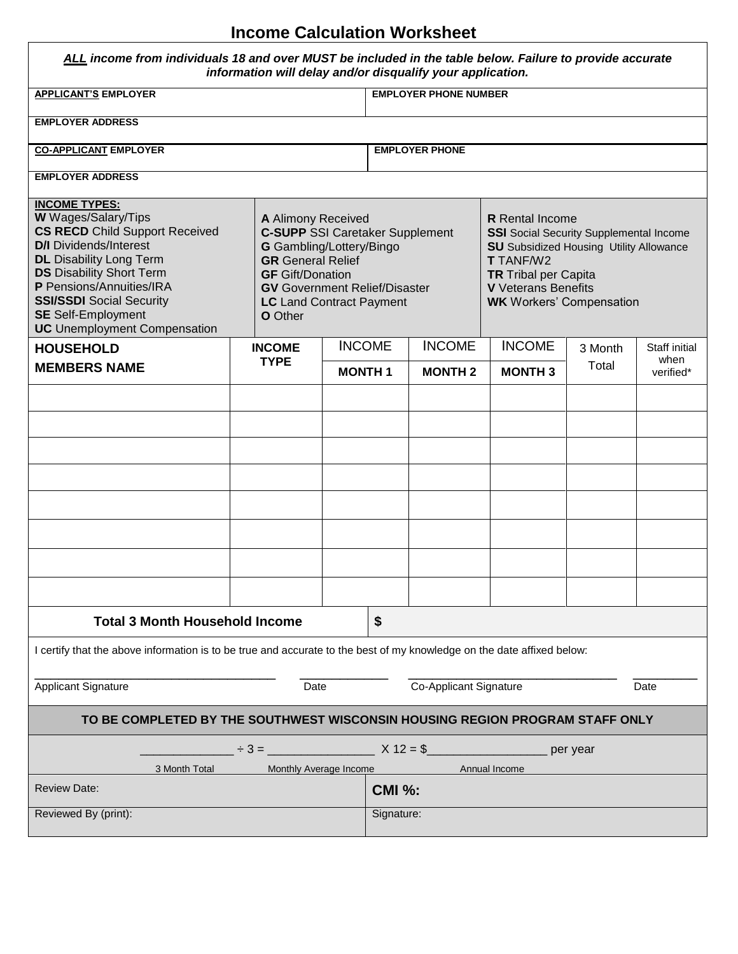## **Income Calculation Worksheet**

Г

 $\overline{\phantom{0}}$ 

| ALL income from individuals 18 and over MUST be included in the table below. Failure to provide accurate<br>information will delay and/or disqualify your application.                                                                                                                                                                                                                                                                                                                                                                                                        |            |                              |                                                                                                                                                                                                                                                |            |                       |               |          |                       |
|-------------------------------------------------------------------------------------------------------------------------------------------------------------------------------------------------------------------------------------------------------------------------------------------------------------------------------------------------------------------------------------------------------------------------------------------------------------------------------------------------------------------------------------------------------------------------------|------------|------------------------------|------------------------------------------------------------------------------------------------------------------------------------------------------------------------------------------------------------------------------------------------|------------|-----------------------|---------------|----------|-----------------------|
| <b>APPLICANT'S EMPLOYER</b>                                                                                                                                                                                                                                                                                                                                                                                                                                                                                                                                                   |            |                              | <b>EMPLOYER PHONE NUMBER</b>                                                                                                                                                                                                                   |            |                       |               |          |                       |
| <b>EMPLOYER ADDRESS</b>                                                                                                                                                                                                                                                                                                                                                                                                                                                                                                                                                       |            |                              |                                                                                                                                                                                                                                                |            |                       |               |          |                       |
| <b>CO-APPLICANT EMPLOYER</b>                                                                                                                                                                                                                                                                                                                                                                                                                                                                                                                                                  |            |                              |                                                                                                                                                                                                                                                |            | <b>EMPLOYER PHONE</b> |               |          |                       |
| <b>EMPLOYER ADDRESS</b>                                                                                                                                                                                                                                                                                                                                                                                                                                                                                                                                                       |            |                              |                                                                                                                                                                                                                                                |            |                       |               |          |                       |
| <b>INCOME TYPES:</b><br>W Wages/Salary/Tips<br>A Alimony Received<br><b>CS RECD</b> Child Support Received<br><b>C-SUPP SSI Caretaker Supplement</b><br><b>D/I</b> Dividends/Interest<br>G Gambling/Lottery/Bingo<br><b>DL</b> Disability Long Term<br><b>GR</b> General Relief<br><b>DS</b> Disability Short Term<br><b>GF</b> Gift/Donation<br>P Pensions/Annuities/IRA<br><b>GV</b> Government Relief/Disaster<br><b>SSI/SSDI</b> Social Security<br><b>LC</b> Land Contract Payment<br><b>SE</b> Self-Employment<br><b>O</b> Other<br><b>UC</b> Unemployment Compensation |            |                              | <b>R</b> Rental Income<br><b>SSI</b> Social Security Supplemental Income<br><b>SU</b> Subsidized Housing Utility Allowance<br><b>T</b> TANF/W2<br><b>TR</b> Tribal per Capita<br><b>V</b> Veterans Benefits<br><b>WK</b> Workers' Compensation |            |                       |               |          |                       |
| <b>HOUSEHOLD</b>                                                                                                                                                                                                                                                                                                                                                                                                                                                                                                                                                              |            | <b>INCOME</b><br><b>TYPE</b> | <b>INCOME</b>                                                                                                                                                                                                                                  |            | <b>INCOME</b>         | <b>INCOME</b> | 3 Month  | Staff initial<br>when |
| <b>MEMBERS NAME</b>                                                                                                                                                                                                                                                                                                                                                                                                                                                                                                                                                           |            |                              | <b>MONTH1</b>                                                                                                                                                                                                                                  |            | <b>MONTH2</b>         | <b>MONTH3</b> | Total    | verified*             |
|                                                                                                                                                                                                                                                                                                                                                                                                                                                                                                                                                                               |            |                              |                                                                                                                                                                                                                                                |            |                       |               |          |                       |
|                                                                                                                                                                                                                                                                                                                                                                                                                                                                                                                                                                               |            |                              |                                                                                                                                                                                                                                                |            |                       |               |          |                       |
|                                                                                                                                                                                                                                                                                                                                                                                                                                                                                                                                                                               |            |                              |                                                                                                                                                                                                                                                |            |                       |               |          |                       |
|                                                                                                                                                                                                                                                                                                                                                                                                                                                                                                                                                                               |            |                              |                                                                                                                                                                                                                                                |            |                       |               |          |                       |
|                                                                                                                                                                                                                                                                                                                                                                                                                                                                                                                                                                               |            |                              |                                                                                                                                                                                                                                                |            |                       |               |          |                       |
|                                                                                                                                                                                                                                                                                                                                                                                                                                                                                                                                                                               |            |                              |                                                                                                                                                                                                                                                |            |                       |               |          |                       |
|                                                                                                                                                                                                                                                                                                                                                                                                                                                                                                                                                                               |            |                              |                                                                                                                                                                                                                                                |            |                       |               |          |                       |
|                                                                                                                                                                                                                                                                                                                                                                                                                                                                                                                                                                               |            |                              |                                                                                                                                                                                                                                                |            |                       |               |          |                       |
| <b>Total 3 Month Household Income</b>                                                                                                                                                                                                                                                                                                                                                                                                                                                                                                                                         |            |                              |                                                                                                                                                                                                                                                | \$         |                       |               |          |                       |
| I certify that the above information is to be true and accurate to the best of my knowledge on the date affixed below:                                                                                                                                                                                                                                                                                                                                                                                                                                                        |            |                              |                                                                                                                                                                                                                                                |            |                       |               |          |                       |
| <b>Applicant Signature</b><br>Co-Applicant Signature<br>Date<br>Date                                                                                                                                                                                                                                                                                                                                                                                                                                                                                                          |            |                              |                                                                                                                                                                                                                                                |            |                       |               |          |                       |
| TO BE COMPLETED BY THE SOUTHWEST WISCONSIN HOUSING REGION PROGRAM STAFF ONLY                                                                                                                                                                                                                                                                                                                                                                                                                                                                                                  |            |                              |                                                                                                                                                                                                                                                |            |                       |               |          |                       |
|                                                                                                                                                                                                                                                                                                                                                                                                                                                                                                                                                                               | $\div$ 3 = |                              |                                                                                                                                                                                                                                                | $X 12 = $$ |                       |               | per year |                       |
| 3 Month Total                                                                                                                                                                                                                                                                                                                                                                                                                                                                                                                                                                 |            | Monthly Average Income       |                                                                                                                                                                                                                                                |            |                       | Annual Income |          |                       |
| <b>Review Date:</b><br><b>CMI %:</b>                                                                                                                                                                                                                                                                                                                                                                                                                                                                                                                                          |            |                              |                                                                                                                                                                                                                                                |            |                       |               |          |                       |
| Reviewed By (print):<br>Signature:                                                                                                                                                                                                                                                                                                                                                                                                                                                                                                                                            |            |                              |                                                                                                                                                                                                                                                |            |                       |               |          |                       |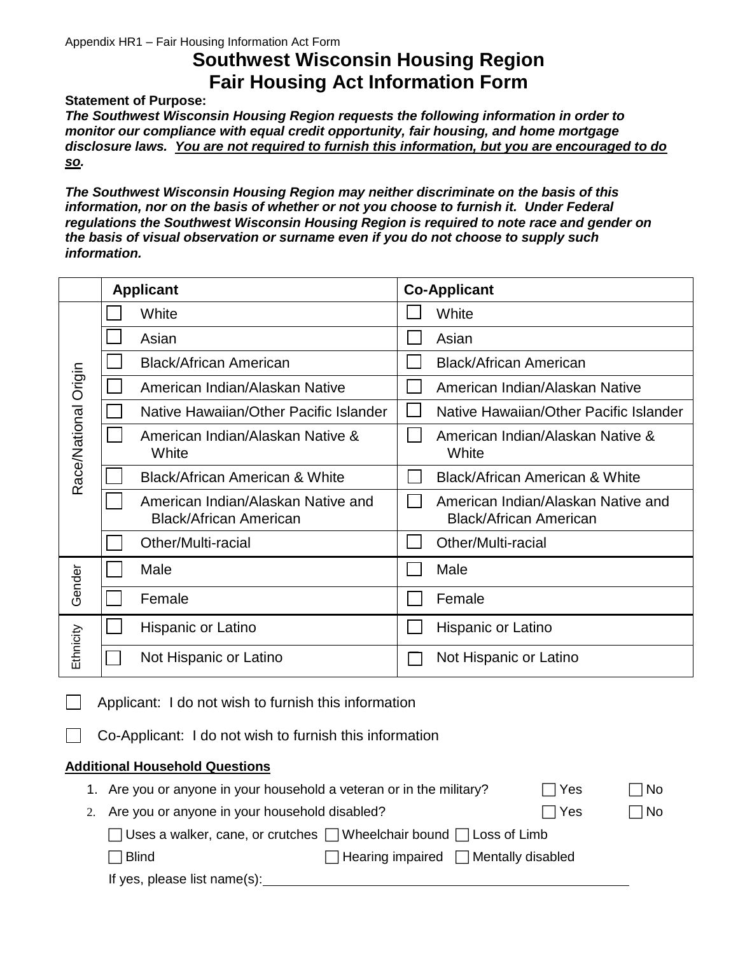# **Southwest Wisconsin Housing Region Fair Housing Act Information Form**

**Statement of Purpose:**

*The Southwest Wisconsin Housing Region requests the following information in order to monitor our compliance with equal credit opportunity, fair housing, and home mortgage disclosure laws. You are not required to furnish this information, but you are encouraged to do so.* 

*The Southwest Wisconsin Housing Region may neither discriminate on the basis of this information, nor on the basis of whether or not you choose to furnish it. Under Federal regulations the Southwest Wisconsin Housing Region is required to note race and gender on the basis of visual observation or surname even if you do not choose to supply such information.*

|                      | <b>Applicant</b> |                                                                     | <b>Co-Applicant</b> |                                                                     |  |
|----------------------|------------------|---------------------------------------------------------------------|---------------------|---------------------------------------------------------------------|--|
|                      |                  | White                                                               |                     | White                                                               |  |
|                      |                  | Asian                                                               |                     | Asian                                                               |  |
|                      |                  | <b>Black/African American</b>                                       |                     | <b>Black/African American</b>                                       |  |
|                      |                  | American Indian/Alaskan Native                                      |                     | American Indian/Alaskan Native                                      |  |
|                      |                  | Native Hawaiian/Other Pacific Islander                              |                     | Native Hawaiian/Other Pacific Islander                              |  |
| Race/National Origin |                  | American Indian/Alaskan Native &<br>White                           |                     | American Indian/Alaskan Native &<br>White                           |  |
|                      |                  | Black/African American & White                                      |                     | Black/African American & White                                      |  |
|                      |                  | American Indian/Alaskan Native and<br><b>Black/African American</b> |                     | American Indian/Alaskan Native and<br><b>Black/African American</b> |  |
|                      |                  | Other/Multi-racial                                                  |                     | Other/Multi-racial                                                  |  |
| Gender               |                  | Male                                                                |                     | Male                                                                |  |
|                      |                  | Female                                                              |                     | Female                                                              |  |
|                      |                  | Hispanic or Latino                                                  |                     | Hispanic or Latino                                                  |  |
| Ethnicity            |                  | Not Hispanic or Latino                                              |                     | Not Hispanic or Latino                                              |  |

Applicant: I do not wish to furnish this information

Co-Applicant: I do not wish to furnish this information

#### **Additional Household Questions**

| 1. Are you or anyone in your household a veteran or in the military? |                                                                                     | $\sqcap$ Yes | $\Box$ No |
|----------------------------------------------------------------------|-------------------------------------------------------------------------------------|--------------|-----------|
| 2. Are you or anyone in your household disabled?                     |                                                                                     | $\Box$ Yes   | $\Box$ No |
|                                                                      | $\Box$ Uses a walker, cane, or crutches $\Box$ Wheelchair bound $\Box$ Loss of Limb |              |           |
| Blind                                                                | $\Box$ Hearing impaired $\Box$ Mentally disabled                                    |              |           |
| If yes, please list name(s):                                         |                                                                                     |              |           |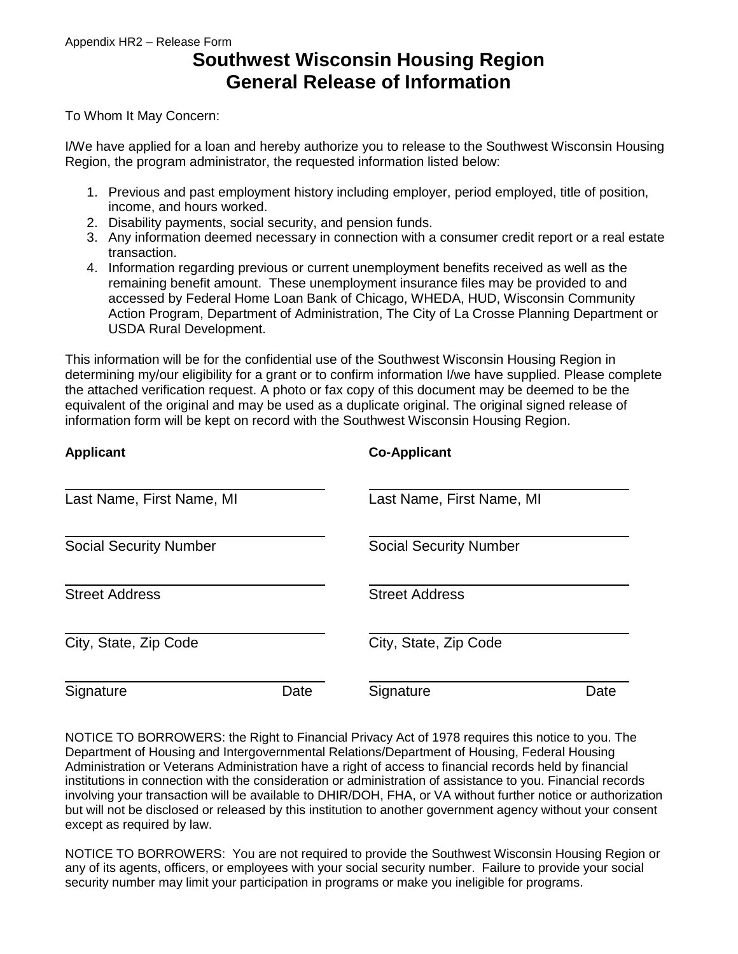# **Southwest Wisconsin Housing Region General Release of Information**

To Whom It May Concern:

I/We have applied for a loan and hereby authorize you to release to the Southwest Wisconsin Housing Region, the program administrator, the requested information listed below:

- 1. Previous and past employment history including employer, period employed, title of position, income, and hours worked.
- 2. Disability payments, social security, and pension funds.
- 3. Any information deemed necessary in connection with a consumer credit report or a real estate transaction.
- 4. Information regarding previous or current unemployment benefits received as well as the remaining benefit amount. These unemployment insurance files may be provided to and accessed by Federal Home Loan Bank of Chicago, WHEDA, HUD, Wisconsin Community Action Program, Department of Administration, The City of La Crosse Planning Department or USDA Rural Development.

This information will be for the confidential use of the Southwest Wisconsin Housing Region in determining my/our eligibility for a grant or to confirm information I/we have supplied. Please complete the attached verification request. A photo or fax copy of this document may be deemed to be the equivalent of the original and may be used as a duplicate original. The original signed release of information form will be kept on record with the Southwest Wisconsin Housing Region.

| <b>Applicant</b>              |      | <b>Co-Applicant</b>           |      |  |  |  |
|-------------------------------|------|-------------------------------|------|--|--|--|
| Last Name, First Name, MI     |      | Last Name, First Name, MI     |      |  |  |  |
| <b>Social Security Number</b> |      | <b>Social Security Number</b> |      |  |  |  |
| <b>Street Address</b>         |      | <b>Street Address</b>         |      |  |  |  |
| City, State, Zip Code         |      | City, State, Zip Code         |      |  |  |  |
| Signature                     | Date | Signature                     | Date |  |  |  |

NOTICE TO BORROWERS: the Right to Financial Privacy Act of 1978 requires this notice to you. The Department of Housing and Intergovernmental Relations/Department of Housing, Federal Housing Administration or Veterans Administration have a right of access to financial records held by financial institutions in connection with the consideration or administration of assistance to you. Financial records involving your transaction will be available to DHIR/DOH, FHA, or VA without further notice or authorization but will not be disclosed or released by this institution to another government agency without your consent except as required by law.

NOTICE TO BORROWERS: You are not required to provide the Southwest Wisconsin Housing Region or any of its agents, officers, or employees with your social security number. Failure to provide your social security number may limit your participation in programs or make you ineligible for programs.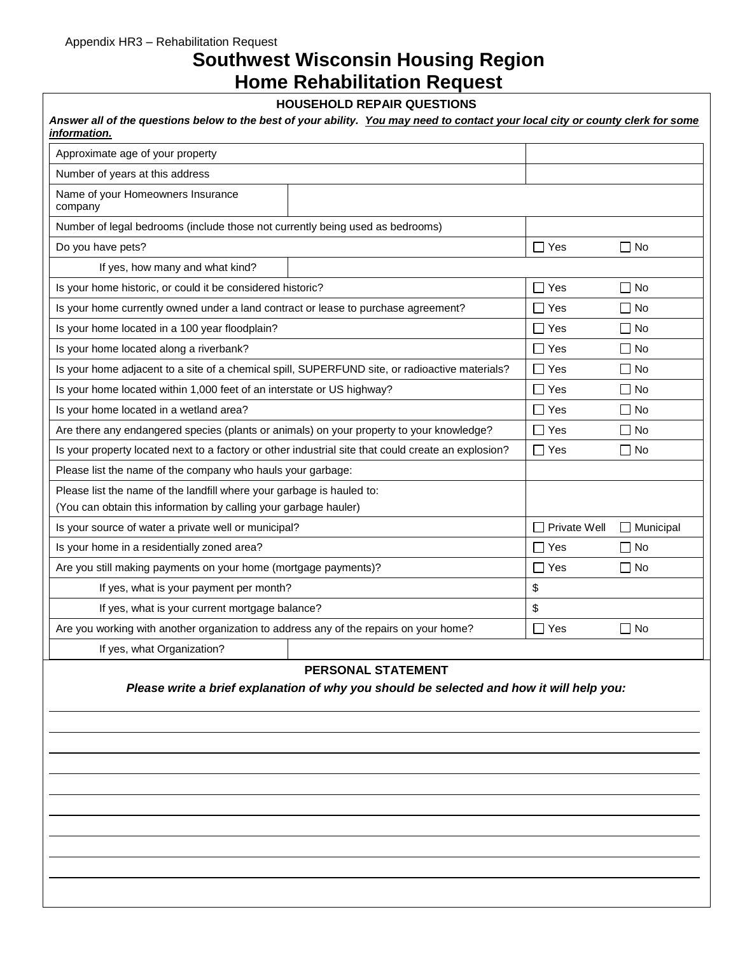# **Southwest Wisconsin Housing Region Home Rehabilitation Request**

#### **HOUSEHOLD REPAIR QUESTIONS**

| Approximate age of your property                                                                    |                              |                  |
|-----------------------------------------------------------------------------------------------------|------------------------------|------------------|
| Number of years at this address                                                                     |                              |                  |
| Name of your Homeowners Insurance<br>company                                                        |                              |                  |
| Number of legal bedrooms (include those not currently being used as bedrooms)                       |                              |                  |
| Do you have pets?                                                                                   | $\Box$ Yes                   | $\Box$ No        |
| If yes, how many and what kind?                                                                     |                              |                  |
| Is your home historic, or could it be considered historic?                                          | Yes<br>$\Box$                | $\Box$ No        |
| Is your home currently owned under a land contract or lease to purchase agreement?                  | l I Yes                      | l I No           |
| Is your home located in a 100 year floodplain?                                                      | $\Box$ Yes                   | $\Box$ No        |
| Is your home located along a riverbank?                                                             | $\Box$ Yes                   | $\Box$ No        |
| Is your home adjacent to a site of a chemical spill, SUPERFUND site, or radioactive materials?      | $\Box$ Yes                   | l INo            |
| Is your home located within 1,000 feet of an interstate or US highway?                              | $\Box$ Yes                   | $\Box$ No        |
| Is your home located in a wetland area?                                                             | ∏ Yes                        | $\Box$ No        |
| Are there any endangered species (plants or animals) on your property to your knowledge?            | ヿ Yes                        | $\Box$ No        |
| Is your property located next to a factory or other industrial site that could create an explosion? | $\Box$ Yes                   | $\Box$ No        |
| Please list the name of the company who hauls your garbage:                                         |                              |                  |
| Please list the name of the landfill where your garbage is hauled to:                               |                              |                  |
| (You can obtain this information by calling your garbage hauler)                                    |                              |                  |
| Is your source of water a private well or municipal?                                                | Private Well<br>$\mathsf{L}$ | $\Box$ Municipal |
| Is your home in a residentially zoned area?                                                         | $\Box$ Yes                   | $\Box$ No        |
| Are you still making payments on your home (mortgage payments)?                                     | $\Box$ Yes                   | ∏ No             |
| If yes, what is your payment per month?                                                             | \$                           |                  |
| If yes, what is your current mortgage balance?                                                      | \$                           |                  |
| Are you working with another organization to address any of the repairs on your home?               | $\Box$ Yes                   | $\Box$ No        |
| If yes, what Organization?                                                                          |                              |                  |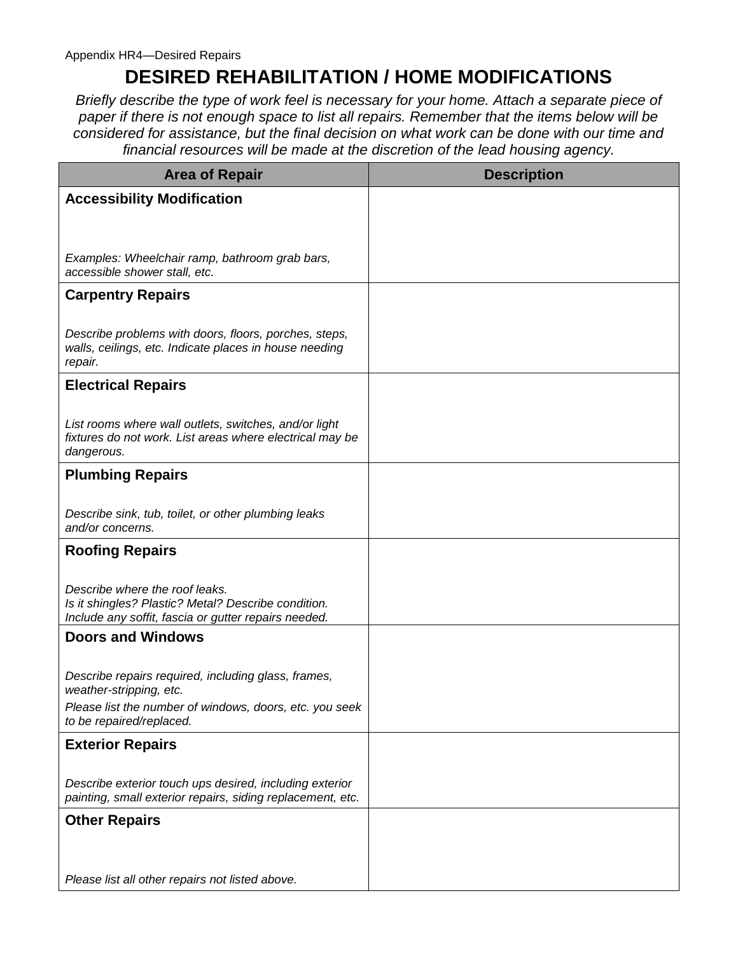# **DESIRED REHABILITATION / HOME MODIFICATIONS**

*Briefly describe the type of work feel is necessary for your home. Attach a separate piece of paper if there is not enough space to list all repairs. Remember that the items below will be considered for assistance, but the final decision on what work can be done with our time and financial resources will be made at the discretion of the lead housing agency.* 

| <b>Area of Repair</b>                                                                                                                         | <b>Description</b> |
|-----------------------------------------------------------------------------------------------------------------------------------------------|--------------------|
| <b>Accessibility Modification</b>                                                                                                             |                    |
|                                                                                                                                               |                    |
| Examples: Wheelchair ramp, bathroom grab bars,<br>accessible shower stall, etc.                                                               |                    |
| <b>Carpentry Repairs</b>                                                                                                                      |                    |
| Describe problems with doors, floors, porches, steps,<br>walls, ceilings, etc. Indicate places in house needing<br>repair.                    |                    |
| <b>Electrical Repairs</b>                                                                                                                     |                    |
| List rooms where wall outlets, switches, and/or light<br>fixtures do not work. List areas where electrical may be<br>dangerous.               |                    |
| <b>Plumbing Repairs</b>                                                                                                                       |                    |
| Describe sink, tub, toilet, or other plumbing leaks<br>and/or concerns.                                                                       |                    |
| <b>Roofing Repairs</b>                                                                                                                        |                    |
| Describe where the roof leaks.<br>Is it shingles? Plastic? Metal? Describe condition.<br>Include any soffit, fascia or gutter repairs needed. |                    |
| <b>Doors and Windows</b>                                                                                                                      |                    |
| Describe repairs required, including glass, frames,<br>weather-stripping, etc.                                                                |                    |
| Please list the number of windows, doors, etc. you seek<br>to be repaired/replaced.                                                           |                    |
| <b>Exterior Repairs</b>                                                                                                                       |                    |
| Describe exterior touch ups desired, including exterior<br>painting, small exterior repairs, siding replacement, etc.                         |                    |
| <b>Other Repairs</b>                                                                                                                          |                    |
|                                                                                                                                               |                    |
| Please list all other repairs not listed above.                                                                                               |                    |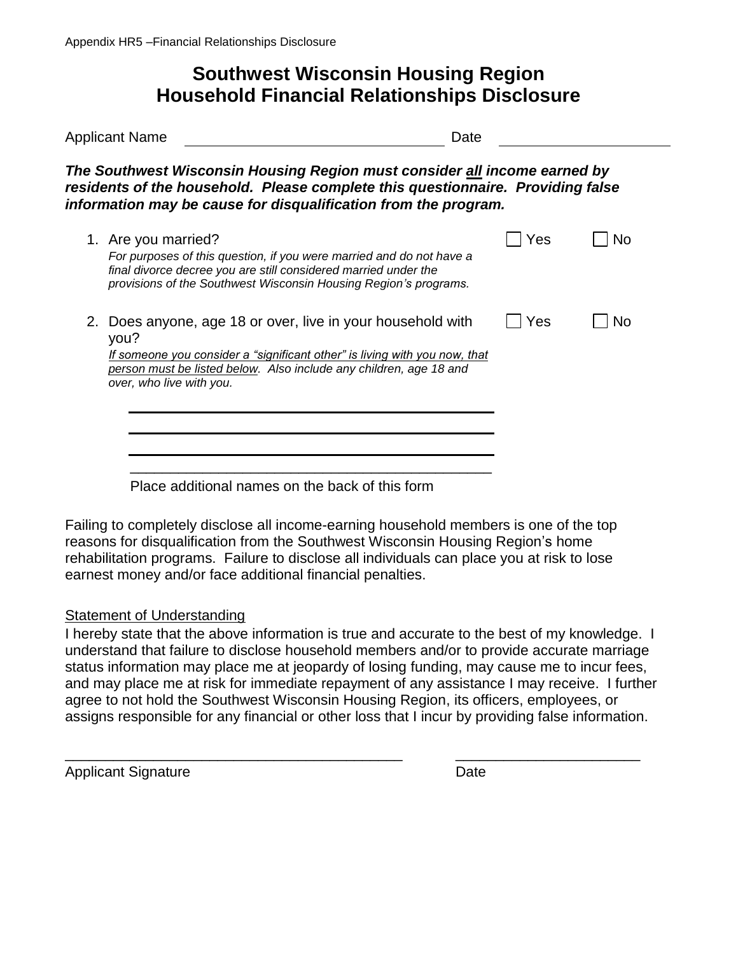# **Southwest Wisconsin Housing Region Household Financial Relationships Disclosure**

| <b>Applicant Name</b> |                                                                                                                                                                                                                                                     | Date |    |  |  |  |
|-----------------------|-----------------------------------------------------------------------------------------------------------------------------------------------------------------------------------------------------------------------------------------------------|------|----|--|--|--|
|                       | The Southwest Wisconsin Housing Region must consider all income earned by<br>residents of the household. Please complete this questionnaire. Providing false<br>information may be cause for disqualification from the program.                     |      |    |  |  |  |
|                       | 1. Are you married?<br>For purposes of this question, if you were married and do not have a<br>final divorce decree you are still considered married under the<br>provisions of the Southwest Wisconsin Housing Region's programs.                  | Yes  | No |  |  |  |
|                       | 2. Does anyone, age 18 or over, live in your household with<br>you?<br>If someone you consider a "significant other" is living with you now, that<br>person must be listed below. Also include any children, age 18 and<br>over, who live with you. | Yes  | No |  |  |  |
|                       | Place additional names on the back of this form                                                                                                                                                                                                     |      |    |  |  |  |

Failing to completely disclose all income-earning household members is one of the top reasons for disqualification from the Southwest Wisconsin Housing Region's home rehabilitation programs. Failure to disclose all individuals can place you at risk to lose earnest money and/or face additional financial penalties.

#### Statement of Understanding

I hereby state that the above information is true and accurate to the best of my knowledge. I understand that failure to disclose household members and/or to provide accurate marriage status information may place me at jeopardy of losing funding, may cause me to incur fees, and may place me at risk for immediate repayment of any assistance I may receive. I further agree to not hold the Southwest Wisconsin Housing Region, its officers, employees, or assigns responsible for any financial or other loss that I incur by providing false information.

\_\_\_\_\_\_\_\_\_\_\_\_\_\_\_\_\_\_\_\_\_\_\_\_\_\_\_\_\_\_\_\_\_\_\_\_\_\_\_\_\_\_ \_\_\_\_\_\_\_\_\_\_\_\_\_\_\_\_\_\_\_\_\_\_\_

Applicant Signature Date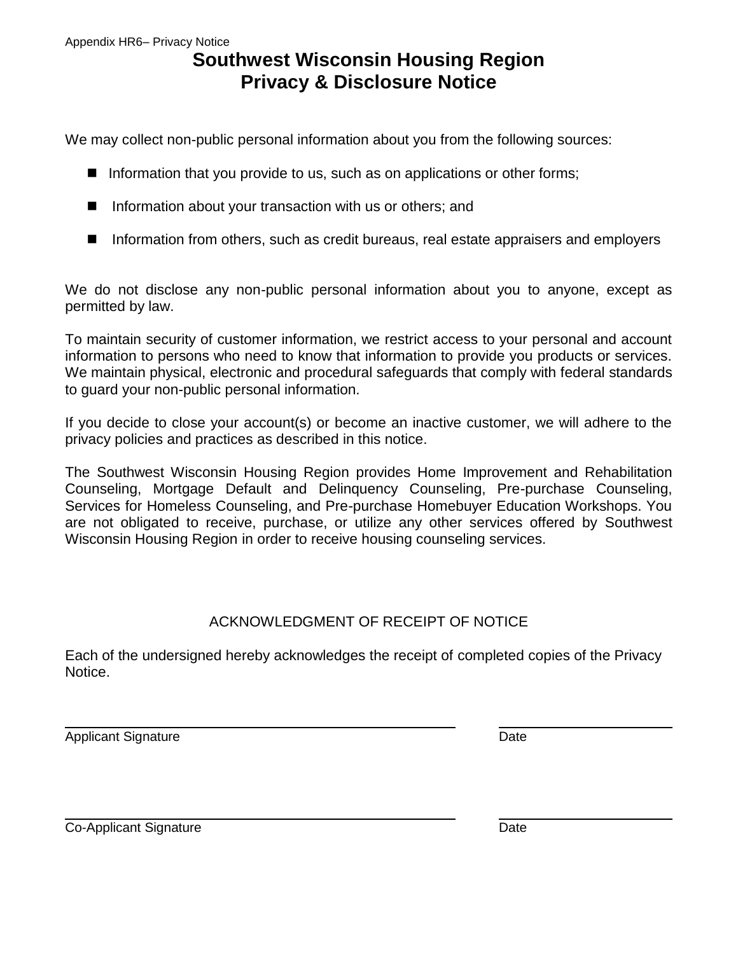# **Southwest Wisconsin Housing Region Privacy & Disclosure Notice**

We may collect non-public personal information about you from the following sources:

- Information that you provide to us, such as on applications or other forms;
- $\blacksquare$  Information about your transaction with us or others; and
- Information from others, such as credit bureaus, real estate appraisers and employers

We do not disclose any non-public personal information about you to anyone, except as permitted by law.

To maintain security of customer information, we restrict access to your personal and account information to persons who need to know that information to provide you products or services. We maintain physical, electronic and procedural safeguards that comply with federal standards to guard your non-public personal information.

If you decide to close your account(s) or become an inactive customer, we will adhere to the privacy policies and practices as described in this notice.

The Southwest Wisconsin Housing Region provides Home Improvement and Rehabilitation Counseling, Mortgage Default and Delinquency Counseling, Pre-purchase Counseling, Services for Homeless Counseling, and Pre-purchase Homebuyer Education Workshops. You are not obligated to receive, purchase, or utilize any other services offered by Southwest Wisconsin Housing Region in order to receive housing counseling services.

#### ACKNOWLEDGMENT OF RECEIPT OF NOTICE

Each of the undersigned hereby acknowledges the receipt of completed copies of the Privacy Notice.

Applicant Signature **Date** 

 $\overline{a}$ 

 $\overline{a}$ Co-Applicant Signature Date Date Date